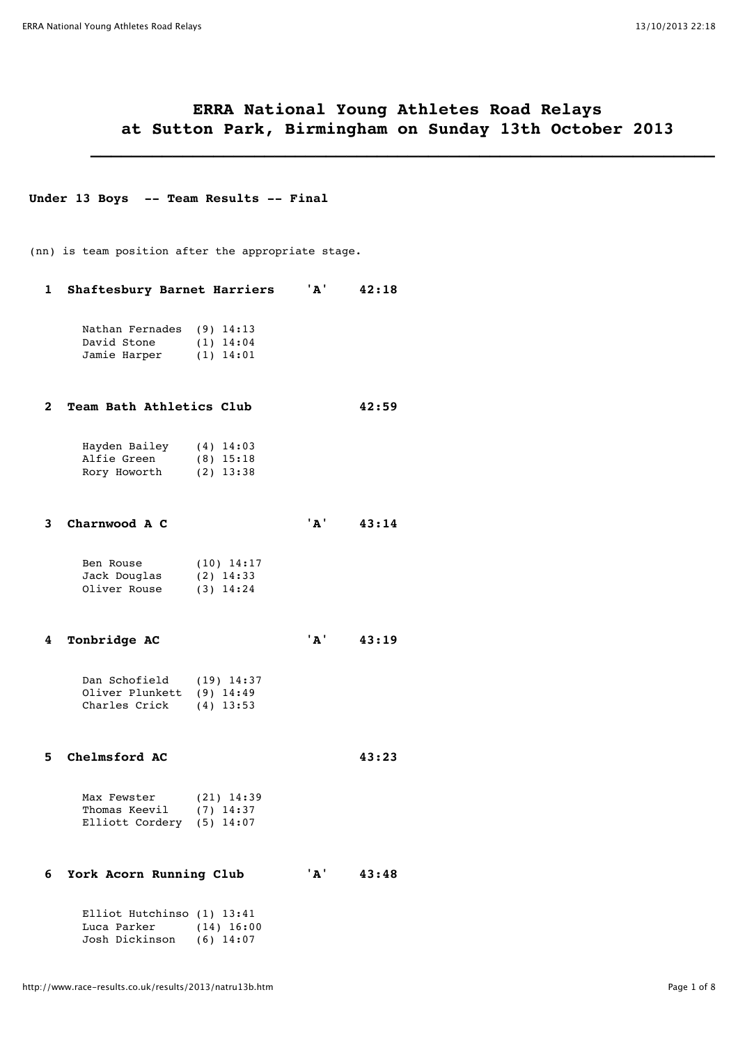# **ERRA National Young Athletes Road Relays at Sutton Park, Birmingham on Sunday 13th October 2013**

 **\_\_\_\_\_\_\_\_\_\_\_\_\_\_\_\_\_\_\_\_\_\_\_\_\_\_\_\_\_\_\_\_\_\_\_\_\_\_\_\_\_\_\_\_\_\_\_\_\_\_\_\_\_\_\_\_\_\_\_\_\_**

#### **Under 13 Boys -- Team Results -- Final**

(nn) is team position after the appropriate stage.

### **1 Shaftesbury Barnet Harriers 'A' 42:18**

| Nathan Fernades (9) 14:13 |             |
|---------------------------|-------------|
| David Stone               | $(1)$ 14:04 |
| Jamie Harper              | $(1)$ 14:01 |

#### **2 Team Bath Athletics Club 42:59**

| Hayden Bailey | $(4)$ 14:03 |
|---------------|-------------|
| Alfie Green   | $(8)$ 15:18 |
| Rory Howorth  | $(2)$ 13:38 |

#### **3 Charnwood A C 'A' 43:14**

| Ben Rouse    | $(10)$ 14:17 |
|--------------|--------------|
| Jack Douglas | $(2)$ 14:33  |
| Oliver Rouse | $(3)$ 14:24  |

 **4 Tonbridge AC 'A' 43:19**

| Dan Schofield             | $(19)$ 14:37 |
|---------------------------|--------------|
| Oliver Plunkett (9) 14:49 |              |
| Charles Crick             | $(4)$ 13:53  |

### **5 Chelmsford AC 43:23**

| Max Fewster                 | $(21)$ 14:39 |
|-----------------------------|--------------|
| Thomas Keevil               | $(7)$ 14:37  |
| Elliott Cordery $(5)$ 14:07 |              |

### **6 York Acorn Running Club 'A' 43:48**

| Elliot Hutchinso (1) 13:41 |              |
|----------------------------|--------------|
| Luca Parker                | $(14)$ 16:00 |
| Josh Dickinson             | $(6)$ 14:07  |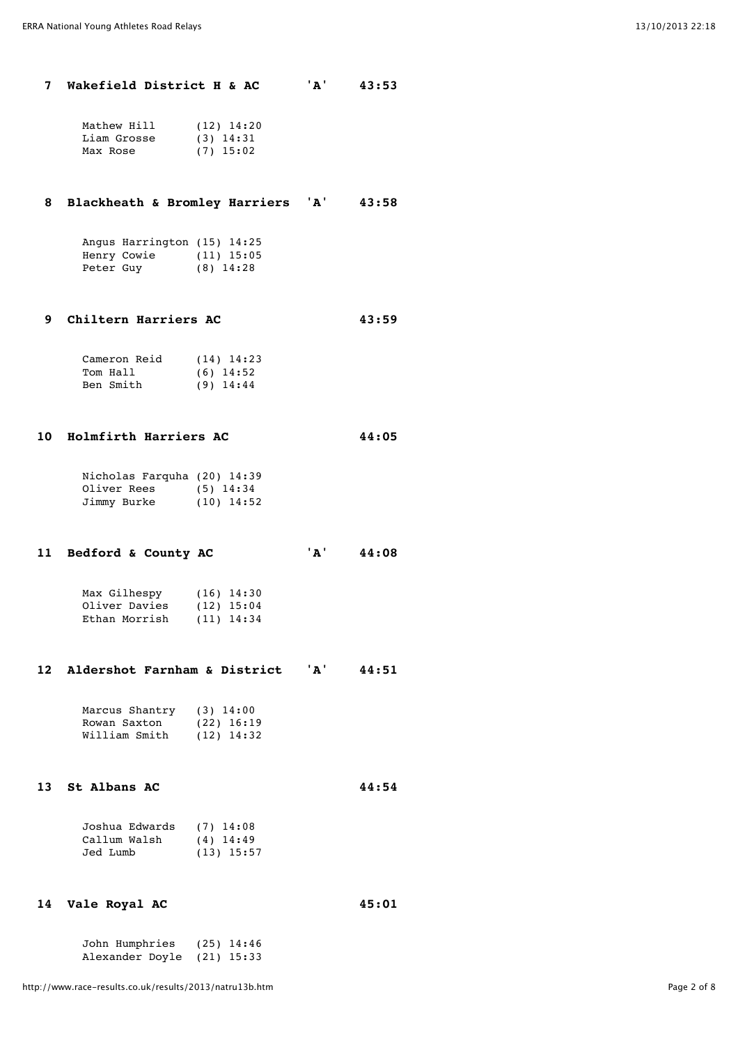**7 Wakefield District H & AC 'A' 43:53**

| $(12)$ 14:20 |
|--------------|
| $(3)$ 14:31  |
| $(7)$ 15:02  |
|              |

## **8 Blackheath & Bromley Harriers 'A' 43:58**

|           | Angus Harrington (15) 14:25 |              |
|-----------|-----------------------------|--------------|
|           | Henry Cowie                 | $(11)$ 15:05 |
| Peter Guy |                             | $(8)$ 14:28  |

## **9 Chiltern Harriers AC 43:59**

| Cameron Reid | $(14)$ 14:23 |
|--------------|--------------|
| Tom Hall     | $(6)$ 14:52  |
| Ben Smith    | $(9)$ 14:44  |

#### **10 Holmfirth Harriers AC 44:05**

| Nicholas Farquha (20) 14:39 |              |
|-----------------------------|--------------|
| Oliver Rees                 | $(5)$ 14:34  |
| Jimmy Burke                 | $(10)$ 14:52 |

# **11 Bedford & County AC 'A' 44:08**

| Max Gilhespy  | $(16)$ 14:30 |
|---------------|--------------|
| Oliver Davies | $(12)$ 15:04 |
| Ethan Morrish | $(11)$ 14:34 |

### **12 Aldershot Farnham & District 'A' 44:51**

| Marcus Shantry | $(3)$ 14:00  |
|----------------|--------------|
| Rowan Saxton   | $(22)$ 16:19 |
| William Smith  | $(12)$ 14:32 |

### **13 St Albans AC 44:54**

| . . | OL Alvans Al |  |
|-----|--------------|--|
|     |              |  |
|     |              |  |

| Joshua Edwards | $(7)$ 14:08  |  |
|----------------|--------------|--|
| Callum Walsh   | $(4)$ 14:49  |  |
| Jed Lumb       | $(13)$ 15:57 |  |

### **14 Vale Royal AC 45:01**

 John Humphries (25) 14:46 Alexander Doyle (21) 15:33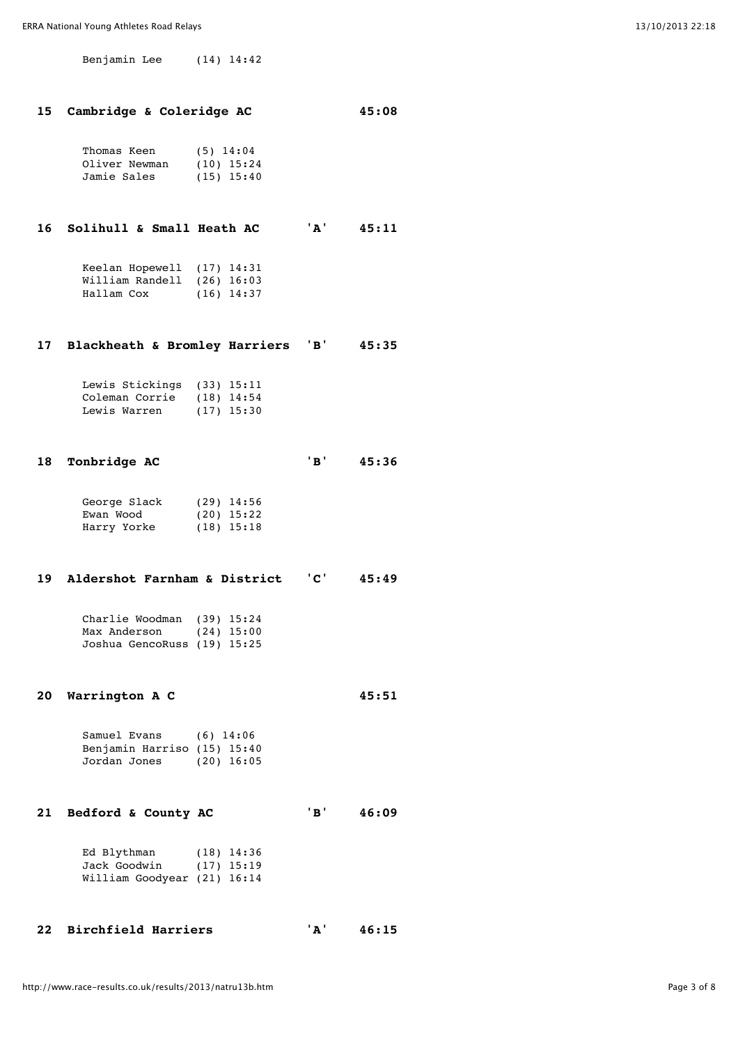Benjamin Lee (14) 14:42

|  | 15 Cambridge & Coleridge AC |  |  |  | 45:08 |
|--|-----------------------------|--|--|--|-------|
|--|-----------------------------|--|--|--|-------|

| Thomas Keen   | $(5)$ 14:04  |
|---------------|--------------|
| Oliver Newman | $(10)$ 15:24 |
| Jamie Sales   | $(15)$ 15:40 |

 **16 Solihull & Small Heath AC 'A' 45:11**

| Keelan Hopewell $(17)$ 14:31 |              |
|------------------------------|--------------|
| William Randell (26) 16:03   |              |
| Hallam Cox                   | $(16)$ 14:37 |

### **17 Blackheath & Bromley Harriers 'B' 45:35**

| Lewis Stickings (33) 15:11  |              |
|-----------------------------|--------------|
| Coleman Corrie $(18)$ 14:54 |              |
| Lewis Warren                | $(17)$ 15:30 |

### **18 Tonbridge AC 'B' 45:36**

| George Slack | $(29)$ 14:56 |
|--------------|--------------|
| Ewan Wood    | $(20)$ 15:22 |
| Harry Yorke  | $(18)$ 15:18 |

#### **19 Aldershot Farnham & District 'C' 45:49**

 Charlie Woodman (39) 15:24 Max Anderson (24) 15:00 Joshua GencoRuss (19) 15:25

#### **20 Warrington A C 45:51**

 Samuel Evans (6) 14:06 Benjamin Harriso (15) 15:40 Jordan Jones (20) 16:05

 **21 Bedford & County AC 'B' 46:09**

| Ed Blythman                 | $(18)$ 14:36 |
|-----------------------------|--------------|
| Jack Goodwin                | $(17)$ 15:19 |
| William Goodyear (21) 16:14 |              |

| 22 Birchfield Harriers |  | 46:15 |
|------------------------|--|-------|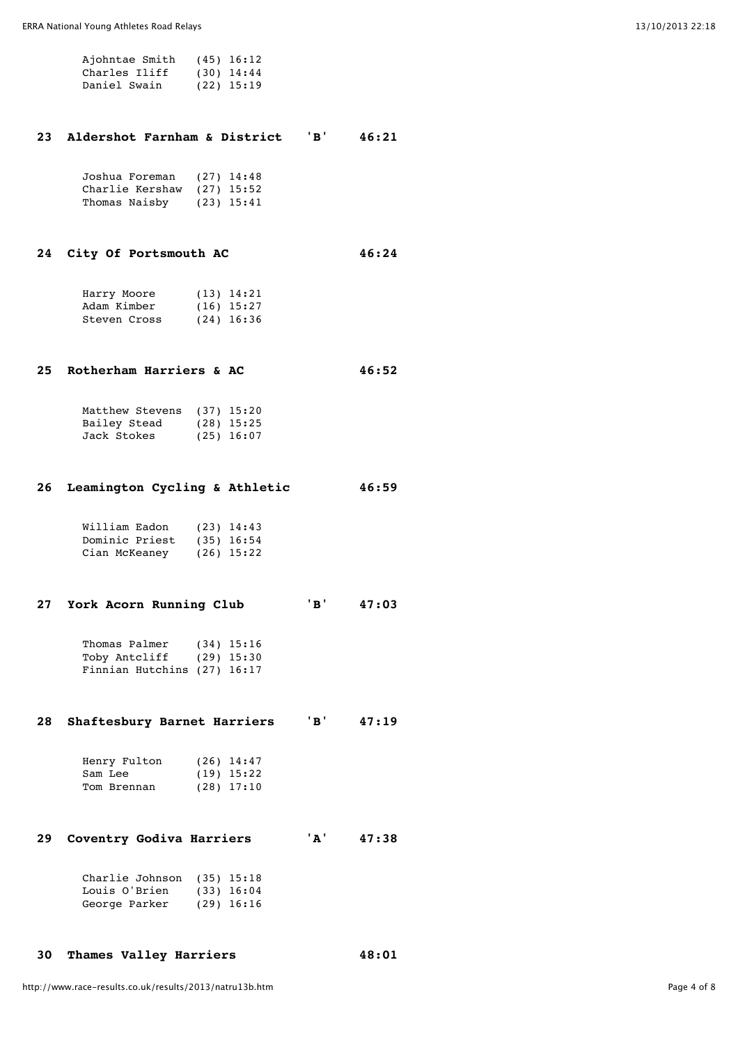| Ajohntae Smith | $(45)$ 16:12 |
|----------------|--------------|
| Charles Iliff  | $(30)$ 14:44 |
| Daniel Swain   | $(22)$ 15:19 |

### **23 Aldershot Farnham & District 'B' 46:21**

| Joshua Foreman  | $(27)$ 14:48 |
|-----------------|--------------|
| Charlie Kershaw | $(27)$ 15:52 |
| Thomas Naisby   | $(23)$ 15:41 |

## **24 City Of Portsmouth AC 46:24**

| Harry Moore  | $(13)$ 14:21 |
|--------------|--------------|
| Adam Kimber  | $(16)$ 15:27 |
| Steven Cross | $(24)$ 16:36 |

### **25 Rotherham Harriers & AC 46:52**

| Matthew Stevens | $(37)$ 15:20 |
|-----------------|--------------|
| Bailey Stead    | $(28)$ 15:25 |
| Jack Stokes     | $(25)$ 16:07 |

### **26 Leamington Cycling & Athletic 46:59**

| William Eadon  | $(23)$ 14:43 |
|----------------|--------------|
| Dominic Priest | $(35)$ 16:54 |
| Cian McKeaney  | $(26)$ 15:22 |

# **27 York Acorn Running Club 'B' 47:03**

| Thomas Palmer               | $(34)$ 15:16 |
|-----------------------------|--------------|
| Toby Antcliff               | (29) 15:30   |
| Finnian Hutchins (27) 16:17 |              |

## **28 Shaftesbury Barnet Harriers 'B' 47:19**

| Henry Fulton | $(26)$ 14:47 |
|--------------|--------------|
| Sam Lee      | $(19)$ 15:22 |
| Tom Brennan  | $(28)$ 17:10 |

 **29 Coventry Godiva Harriers 'A' 47:38**

| Charlie Johnson $(35)$ 15:18 |              |
|------------------------------|--------------|
| Louis O'Brien                | $(33)$ 16:04 |
| George Parker                | $(29)$ 16:16 |

## **30 Thames Valley Harriers 48:01**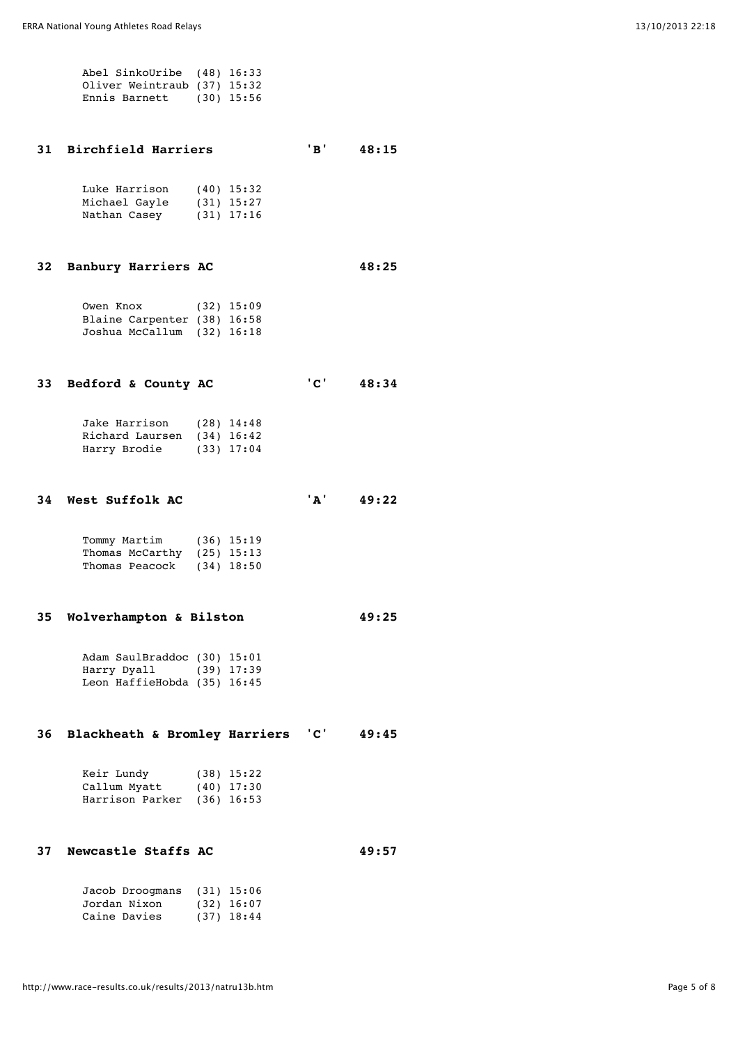| Abel SinkoUribe (48) 16:33  |  |
|-----------------------------|--|
| Oliver Weintraub (37) 15:32 |  |
| Ennis Barnett $(30)$ 15:56  |  |

### **31 Birchfield Harriers 'B' 48:15**

| Luke Harrison | $(40)$ 15:32 |
|---------------|--------------|
| Michael Gayle | $(31)$ 15:27 |
| Nathan Casey  | $(31)$ 17:16 |

## **32 Banbury Harriers AC 48:25**

| Owen Knox                   | $(32)$ 15:09 |
|-----------------------------|--------------|
| Blaine Carpenter (38) 16:58 |              |
| Joshua McCallum (32) 16:18  |              |

|  | 33 Bedford & County AC |  |  |  | <u>' ~ '</u> | 48:34 |
|--|------------------------|--|--|--|--------------|-------|
|--|------------------------|--|--|--|--------------|-------|

| Jake Harrison              | $(28)$ 14:48 |
|----------------------------|--------------|
| Richard Laursen (34) 16:42 |              |
| Harry Brodie               | $(33)$ 17:04 |

## **34 West Suffolk AC 'A' 49:22**

| Tommy Martim |                            | $(36)$ 15:19 |
|--------------|----------------------------|--------------|
|              | Thomas McCarthy (25) 15:13 |              |
|              | Thomas Peacock (34) 18:50  |              |

### **35 Wolverhampton & Bilston 49:25**

| Adam SaulBraddoc (30) 15:01 |            |
|-----------------------------|------------|
| Harry Dyall                 | (39) 17:39 |
| Leon HaffieHobda (35) 16:45 |            |

# **36 Blackheath & Bromley Harriers 'C' 49:45**

| Keir Lundy                 | $(38)$ 15:22 |
|----------------------------|--------------|
| Callum Myatt               | $(40)$ 17:30 |
| Harrison Parker (36) 16:53 |              |

# **37 Newcastle Staffs AC 49:57**

| Jacob Droogmans (31) 15:06 |              |
|----------------------------|--------------|
| Jordan Nixon               | $(32)$ 16:07 |
| Caine Davies               | $(37)$ 18:44 |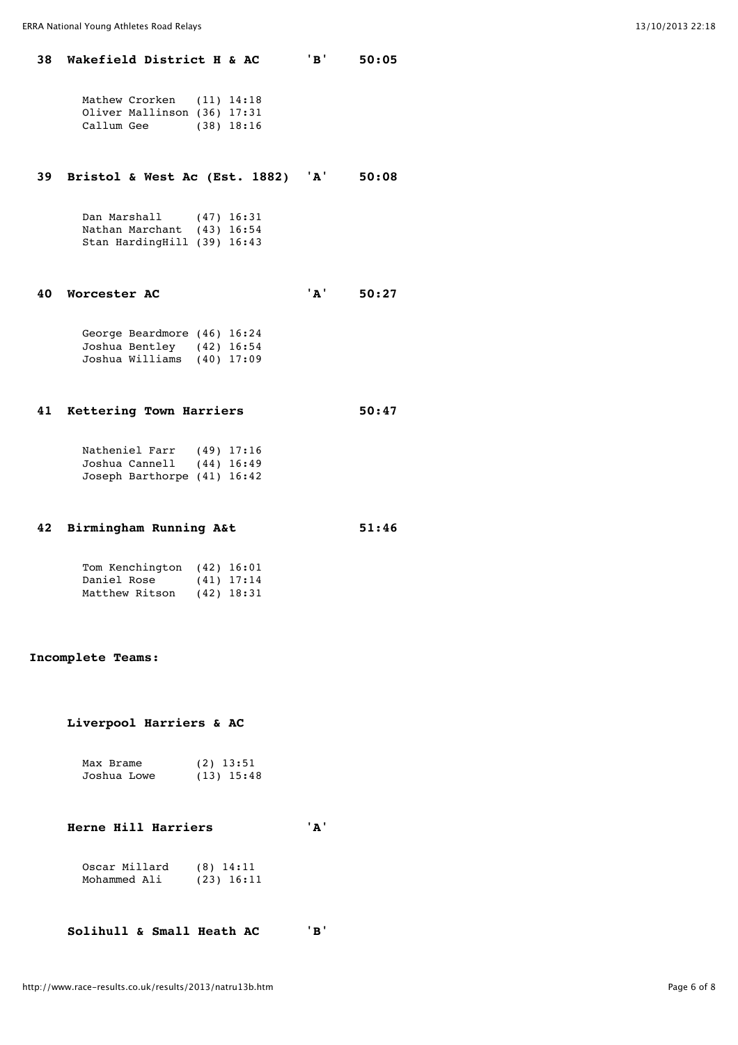#### **38 Wakefield District H & AC 'B' 50:05**

|            | Mathew Crorken (11) 14:18   |              |
|------------|-----------------------------|--------------|
|            | Oliver Mallinson (36) 17:31 |              |
| Callum Gee |                             | $(38)$ 18:16 |

## **39 Bristol & West Ac (Est. 1882) 'A' 50:08**

| Dan Marshall                | $(47)$ 16:31 |
|-----------------------------|--------------|
| Nathan Marchant (43) 16:54  |              |
| Stan HardingHill (39) 16:43 |              |

#### **40 Worcester AC 'A' 50:27**

| George Beardmore (46) 16:24 |  |
|-----------------------------|--|
| Joshua Bentley (42) 16:54   |  |
| Joshua Williams (40) 17:09  |  |

### **41 Kettering Town Harriers 50:47**

 Natheniel Farr (49) 17:16 Joshua Cannell (44) 16:49 Joseph Barthorpe (41) 16:42

## **42 Birmingham Running A&t 51:46**

 Tom Kenchington (42) 16:01 Daniel Rose (41) 17:14 Matthew Ritson (42) 18:31

#### **Incomplete Teams:**

### **Liverpool Harriers & AC**

| Max Brame   | $(2)$ 13:51 |              |
|-------------|-------------|--------------|
| Joshua Lowe |             | $(13)$ 15:48 |

# **Herne Hill Harriers 'A'**

| Oscar Millard | $(8)$ 14:11  |
|---------------|--------------|
| Mohammed Ali  | $(23)$ 16:11 |

 **Solihull & Small Heath AC 'B'**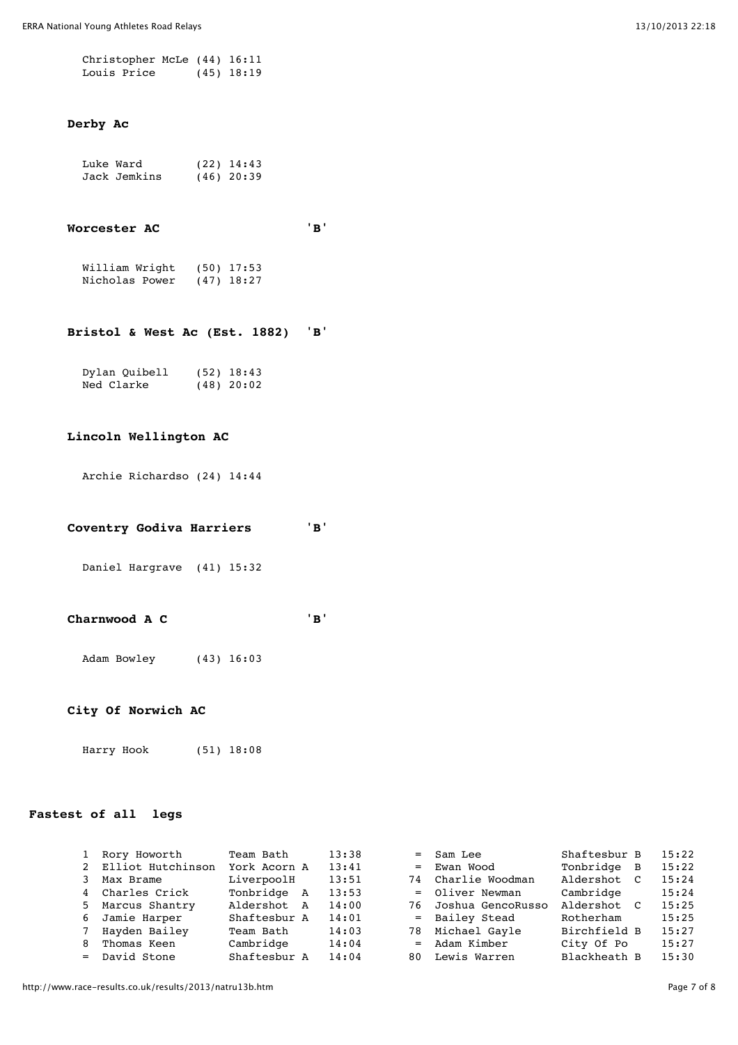| Christopher McLe (44) 16:11 |  |              |
|-----------------------------|--|--------------|
| Louis Price                 |  | $(45)$ 18:19 |

## **Derby Ac**

| Luke Ward    | $(22)$ 14:43 |
|--------------|--------------|
| Jack Jemkins | $(46)$ 20:39 |

### **Worcester AC 'B'**

| William Wright | $(50)$ 17:53 |
|----------------|--------------|
| Nicholas Power | $(47)$ 18:27 |

### **Bristol & West Ac (Est. 1882) 'B'**

| Dylan Quibell | $(52)$ 18:43 |
|---------------|--------------|
| Ned Clarke    | $(48)$ 20:02 |

### **Lincoln Wellington AC**

Archie Richardso (24) 14:44

## **Coventry Godiva Harriers 'B'**

Daniel Hargrave (41) 15:32

### **Charnwood A C 'B'**

Adam Bowley (43) 16:03

### **City Of Norwich AC**

Harry Hook (51) 18:08

## **Fastest of all legs**

|   | Rory Howorth        | Team Bath    | 13:38 | $=$ Sam Lee          | Shaftesbur B   | 15:22 |
|---|---------------------|--------------|-------|----------------------|----------------|-------|
|   | 2 Elliot Hutchinson | York Acorn A | 13:41 | $=$ Ewan Wood        | Tonbridge B    | 15:22 |
|   | Max Brame           | LiverpoolH   | 13:51 | 74 Charlie Woodman   | Aldershot<br>C | 15:24 |
|   | 4 Charles Crick     | Tonbridge A  | 13:53 | = Oliver Newman      | Cambridge      | 15:24 |
|   | 5 Marcus Shantry    | Aldershot A  | 14:00 | 76 Joshua GencoRusso | Aldershot C    | 15:25 |
|   | 6 Jamie Harper      | Shaftesbur A | 14:01 | = Bailey Stead       | Rotherham      | 15:25 |
|   | 7 Hayden Bailey     | Team Bath    | 14:03 | 78 Michael Gayle     | Birchfield B   | 15:27 |
| 8 | Thomas Keen         | Cambridge    | 14:04 | $=$ Adam Kimber      | City Of Po     | 15:27 |
|   | = David Stone       | Shaftesbur A | 14:04 | 80 Lewis Warren      | Blackheath B   | 15:30 |
|   |                     |              |       |                      |                |       |